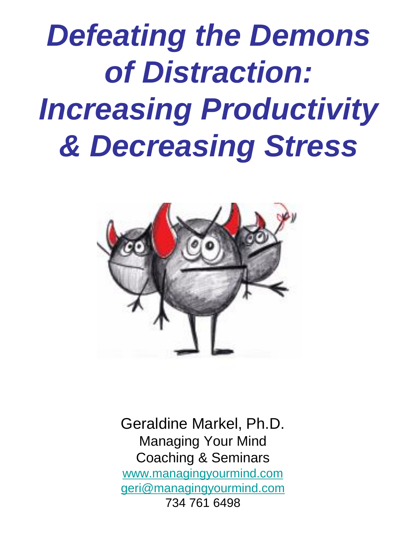#### *Defeating the Demons of Distraction: Increasing Productivity & Decreasing Stress*



Geraldine Markel, Ph.D. Managing Your Mind Coaching & Seminars [www.managingyourmind.com](http://www.managingyourmind.com/) [geri@managingyourmind.com](mailto:geri@managingyourmind.com) 734 761 6498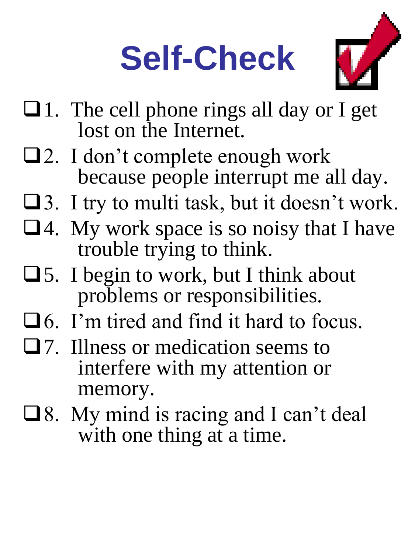## **Self-Check**



- ❑1. The cell phone rings all day or I get lost on the Internet.
- ❑2. I don't complete enough work because people interrupt me all day.
- ❑3. I try to multi task, but it doesn't work.
- ❑4. My work space is so noisy that I have trouble trying to think.
- ❑5. I begin to work, but I think about problems or responsibilities.
- ❑6. I'm tired and find it hard to focus.
- ❑7. Illness or medication seems to interfere with my attention or memory.
- ❑8. My mind is racing and I can't deal with one thing at a time.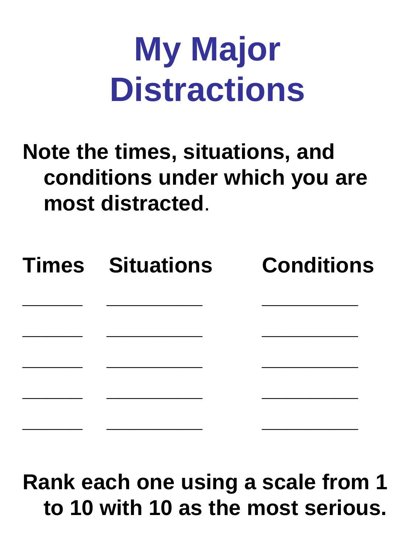#### **My Major Distractions**

#### **Note the times, situations, and conditions under which you are most distracted**.

| <b>Times</b> Situations | <b>Conditions</b> |
|-------------------------|-------------------|
|                         |                   |
|                         |                   |
|                         |                   |
|                         |                   |

#### **Rank each one using a scale from 1 to 10 with 10 as the most serious.**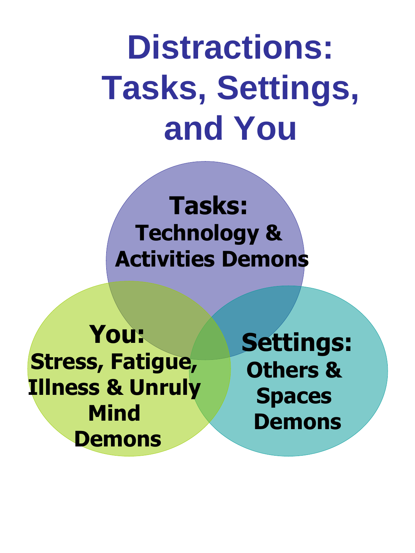#### **Distractions: Tasks, Settings, and You**

#### **Tasks: Technology & Activities Demons**

**You: Stress, Fatigue, Illness & Unruly Mind Demons**

**Settings: Others & Spaces Demons**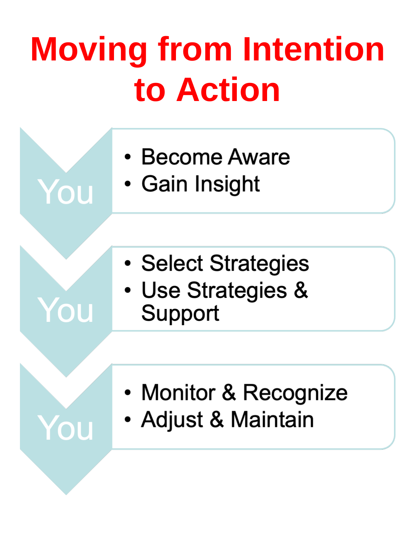### **Moving from Intention** to Action

- **Become Aware**
- Gain Insight

You

- Select Strategies
- Use Strategies & Support
- Monitor & Recognize
- Adjust & Maintain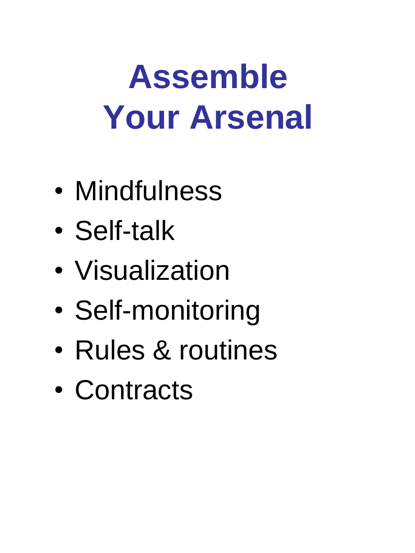### **Assemble Your Arsenal**

- Mindfulness
- Self-talk
- Visualization
- Self-monitoring
- Rules & routines
- Contracts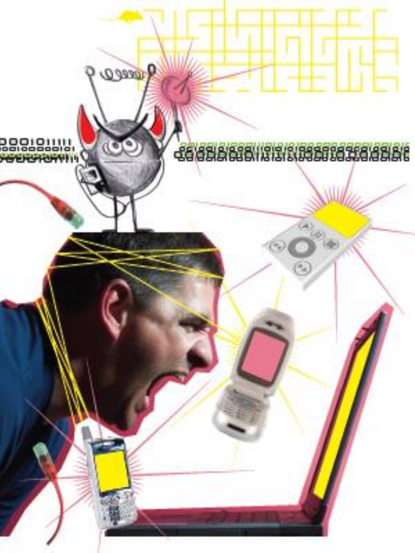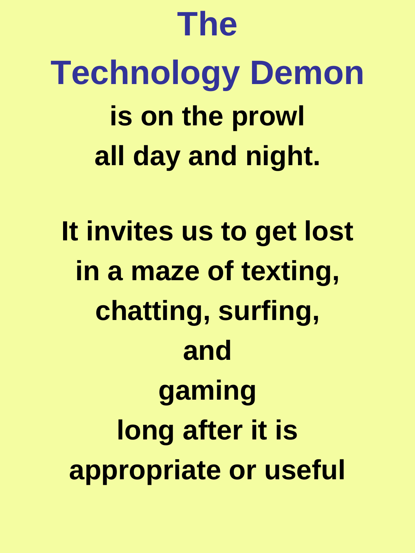#### **The**

**Technology Demon is on the prowl all day and night.**

**It invites us to get lost in a maze of texting, chatting, surfing, and gaming long after it is appropriate or useful**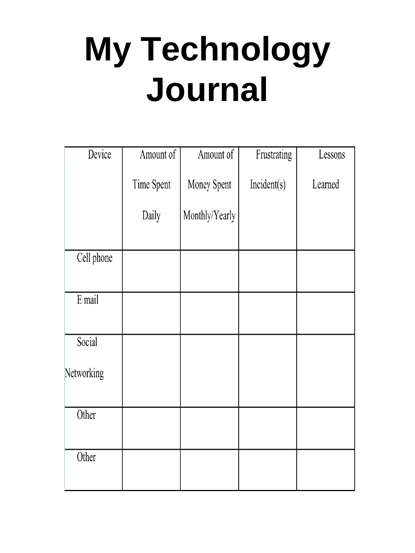### **My Technology Journal**

| Device     | Amount of  | Amount of      | Frustrating | Lessons |
|------------|------------|----------------|-------------|---------|
|            | Time Spent | Money Spent    | Incident(s) | Learned |
|            | Daily      | Monthly/Yearly |             |         |
|            |            |                |             |         |
| Cell phone |            |                |             |         |
| E mail     |            |                |             |         |
| Social     |            |                |             |         |
| Networking |            |                |             |         |
| Other      |            |                |             |         |
| Other      |            |                |             |         |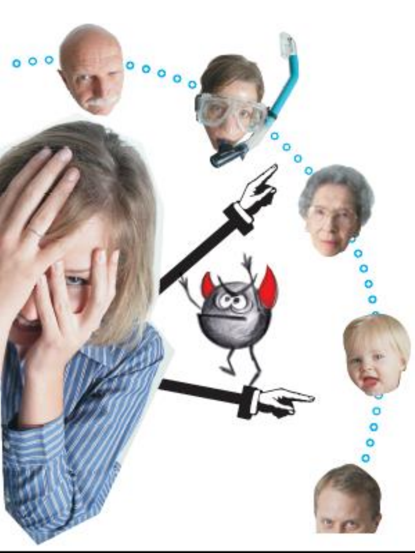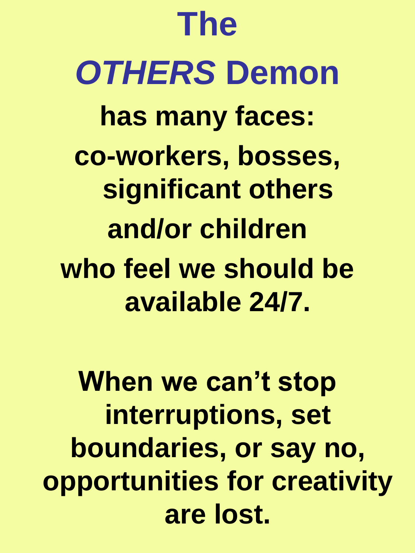### **The**  *OTHERS* **Demon has many faces: co-workers, bosses, significant others and/or children who feel we should be available 24/7.**

**When we can't stop interruptions, set boundaries, or say no, opportunities for creativity are lost.**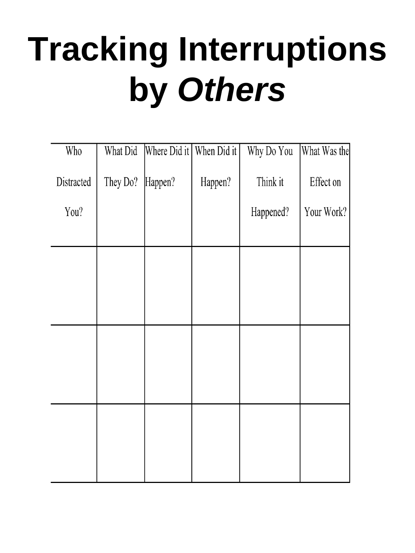### **Tracking Interruptions by** *Others*

| Who        | What Did |         | Where Did it   When Did it | Why Do You | What Was the |
|------------|----------|---------|----------------------------|------------|--------------|
| Distracted | They Do? | Happen? | Happen?                    | Think it   | Effect on    |
| You?       |          |         |                            | Happened?  | Your Work?   |
|            |          |         |                            |            |              |
|            |          |         |                            |            |              |
|            |          |         |                            |            |              |
|            |          |         |                            |            |              |
|            |          |         |                            |            |              |
|            |          |         |                            |            |              |
|            |          |         |                            |            |              |
|            |          |         |                            |            |              |
|            |          |         |                            |            |              |
|            |          |         |                            |            |              |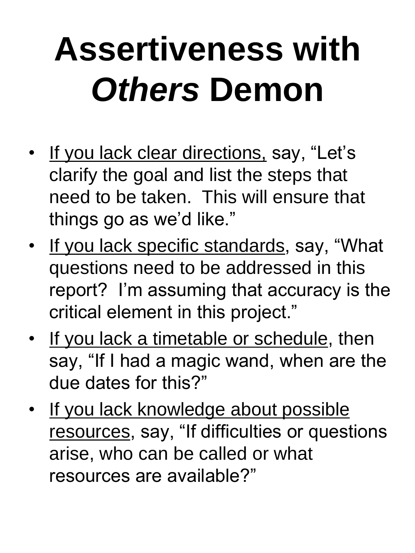### **Assertiveness with**  *Others* **Demon**

- If you lack clear directions, say, "Let's clarify the goal and list the steps that need to be taken. This will ensure that things go as we'd like."
- If you lack specific standards, say, "What questions need to be addressed in this report? I'm assuming that accuracy is the critical element in this project."
- If you lack a timetable or schedule, then say, "If I had a magic wand, when are the due dates for this?"
- If you lack knowledge about possible resources, say, "If difficulties or questions arise, who can be called or what resources are available?"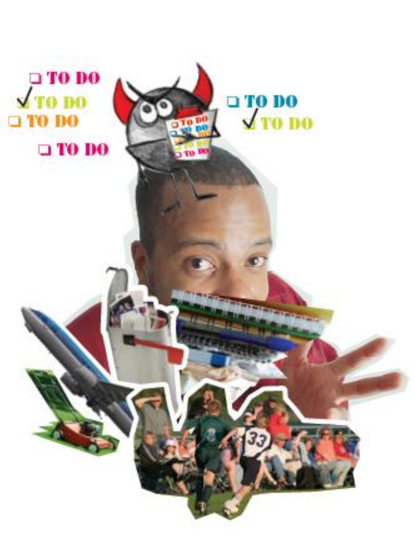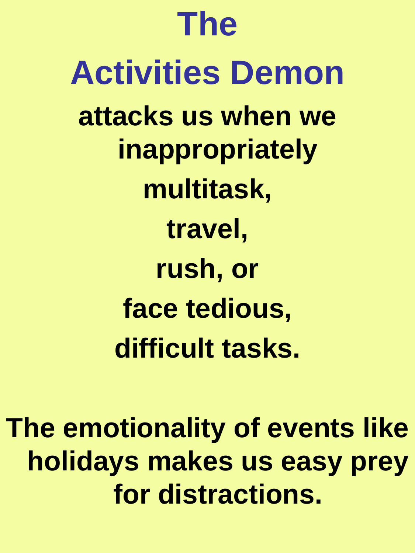### **The Activities Demon attacks us when we inappropriately multitask, travel, rush, or face tedious, difficult tasks.**

**The emotionality of events like holidays makes us easy prey for distractions.**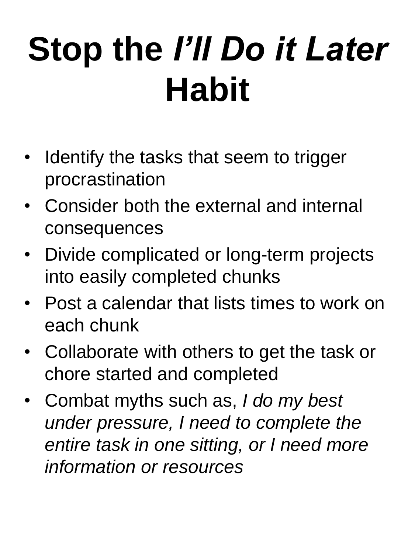### **Stop the** *I'll Do it Later*  **Habit**

- Identify the tasks that seem to trigger procrastination
- Consider both the external and internal consequences
- Divide complicated or long-term projects into easily completed chunks
- Post a calendar that lists times to work on each chunk
- Collaborate with others to get the task or chore started and completed
- Combat myths such as, *I do my best under pressure, I need to complete the entire task in one sitting, or I need more information or resources*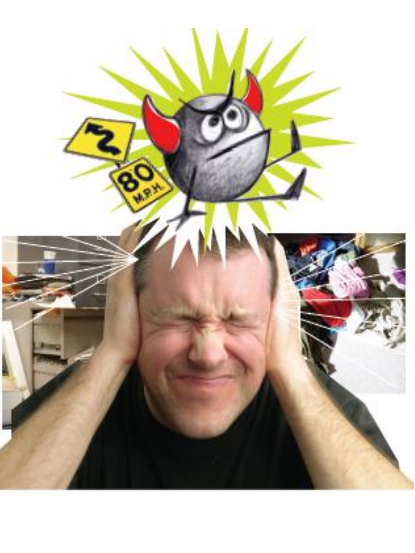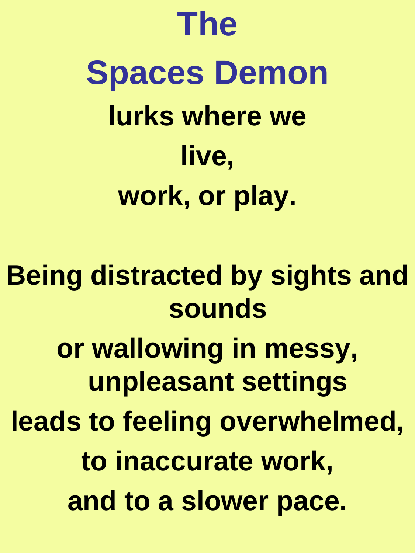## **The Spaces Demon lurks where we live, work, or play.**

**Being distracted by sights and sounds or wallowing in messy, unpleasant settings** 

**leads to feeling overwhelmed, to inaccurate work,** 

**and to a slower pace.**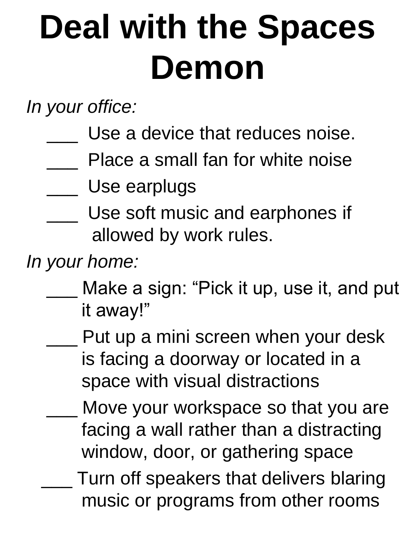### **Deal with the Spaces Demon**

*In your office:* 

- Use a device that reduces noise.
- Place a small fan for white noise
- \_\_\_ Use earplugs
	- **Lace Soft music and earphones if** allowed by work rules.

*In your home:*

- Make a sign: "Pick it up, use it, and put it away!"
- \_\_\_ Put up a mini screen when your desk is facing a doorway or located in a space with visual distractions
- \_\_\_ Move your workspace so that you are facing a wall rather than a distracting window, door, or gathering space
- \_\_\_ Turn off speakers that delivers blaring music or programs from other rooms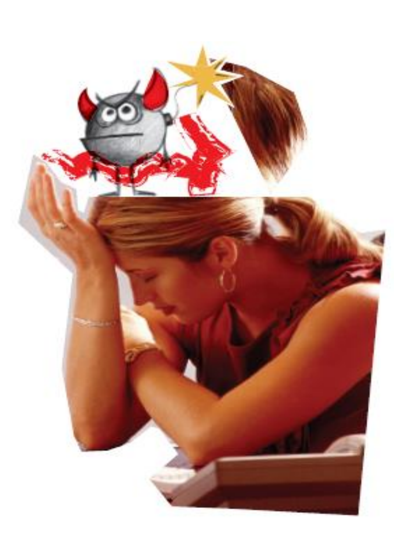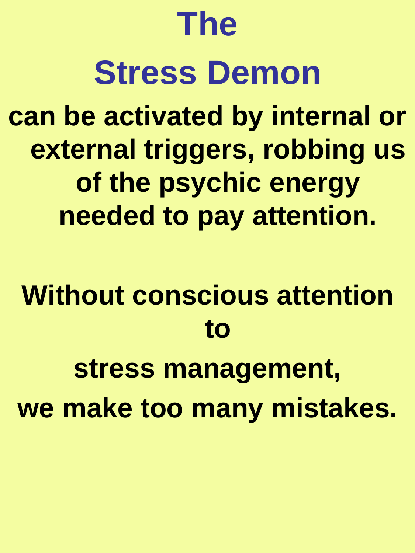# **The Stress Demon can be activated by internal or external triggers, robbing us**

**of the psychic energy needed to pay attention.** 

**Without conscious attention to stress management, we make too many mistakes.**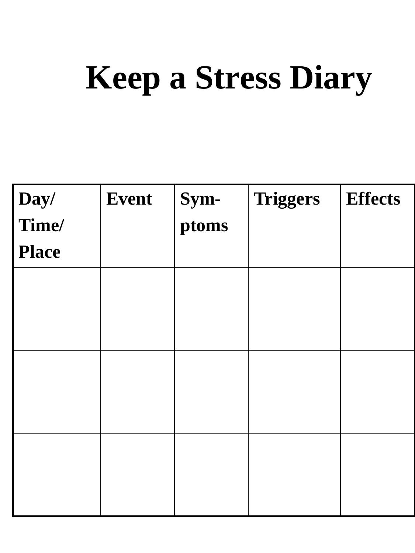### **Keep a Stress Diary**

| Day/<br>Time/ | <b>Event</b> | Sym-<br>ptoms | <b>Triggers</b> | <b>Effects</b> |
|---------------|--------------|---------------|-----------------|----------------|
| <b>Place</b>  |              |               |                 |                |
|               |              |               |                 |                |
|               |              |               |                 |                |
|               |              |               |                 |                |
|               |              |               |                 |                |
|               |              |               |                 |                |
|               |              |               |                 |                |
|               |              |               |                 |                |
|               |              |               |                 |                |
|               |              |               |                 |                |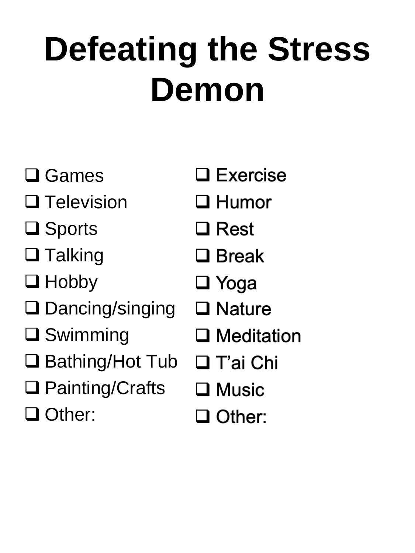## **Defeating the Stress Demon**

- ❑ Games
- ❑ Television
- ❑ Sports
- ❑ Talking
- ❑ Hobby
- ❑ Dancing/singing
- ❑ Swimming
- ❑ Bathing/Hot Tub
- ❑ Painting/Crafts
- ❑ Other:
- $\Box$  Exercise
- $\square$  Humor
- $\Box$  Rest
- $\Box$  Break
- $\square$  Yoga
- $\Box$  Nature
- $\Box$  Meditation
- $\Box$  T'ai Chi
- $\Box$  Music
- $\Box$  Other: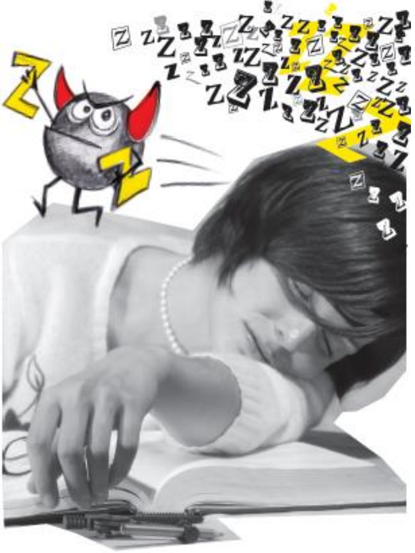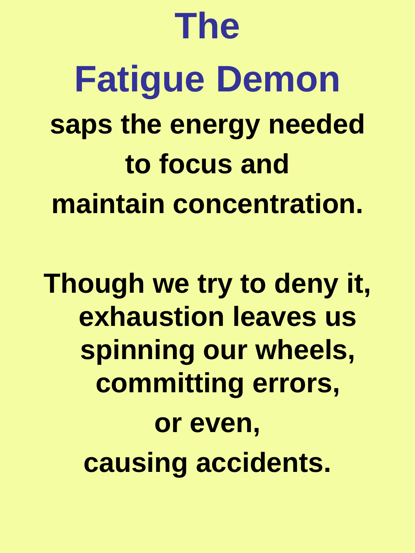### **The**

## **Fatigue Demon saps the energy needed to focus and maintain concentration.**

**Though we try to deny it, exhaustion leaves us spinning our wheels, committing errors, or even, causing accidents.**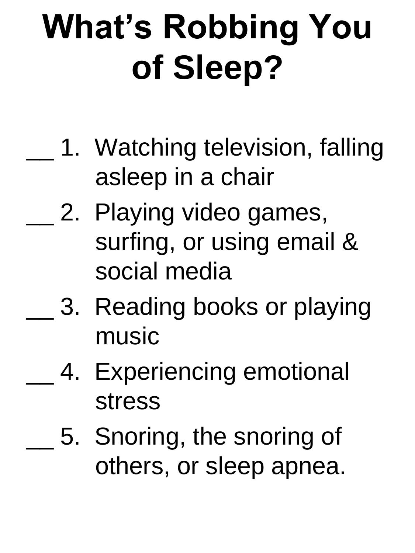## **What's Robbing You of Sleep?**

- 1. Watching television, falling asleep in a chair
- \_\_ 2. Playing video games, surfing, or using email & social media
	- 3. Reading books or playing music
- \_\_ 4. Experiencing emotional stress
- \_\_ 5. Snoring, the snoring of others, or sleep apnea.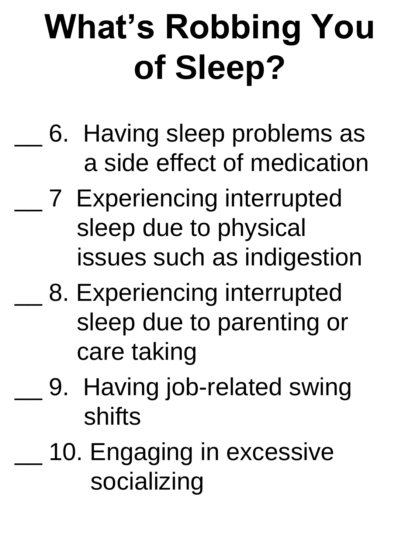## **What's Robbing You of Sleep?**

- 6. Having sleep problems as a side effect of medication
- 7 Experiencing interrupted sleep due to physical issues such as indigestion
- 8. Experiencing interrupted sleep due to parenting or care taking
- 9. Having job-related swing shifts
- 10. Engaging in excessive socializing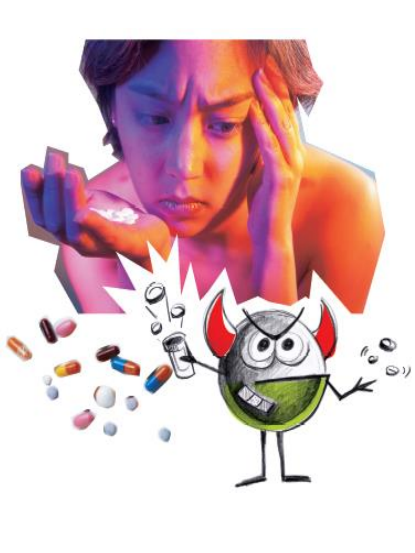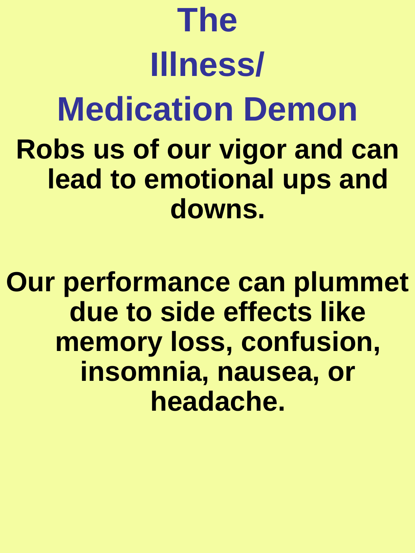**The Illness/ Medication Demon Robs us of our vigor and can lead to emotional ups and downs.** 

**Our performance can plummet due to side effects like memory loss, confusion, insomnia, nausea, or headache.**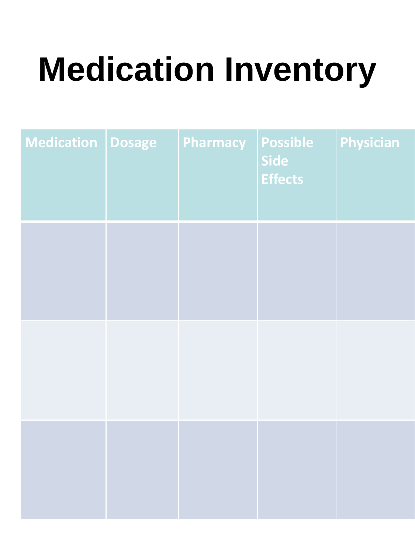## **Medication Inventory**

| Medication Dosage | <b>Pharmacy</b> | <b>Possible</b><br>Side<br><b>Effects</b> | Physician |
|-------------------|-----------------|-------------------------------------------|-----------|
|                   |                 |                                           |           |
|                   |                 |                                           |           |
|                   |                 |                                           |           |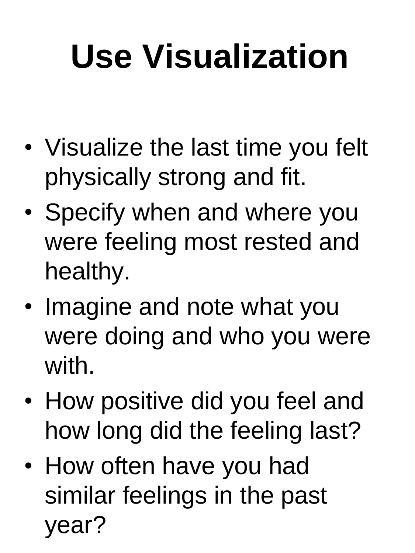## **Use Visualization**

- Visualize the last time you felt physically strong and fit.
- Specify when and where you were feeling most rested and healthy.
- Imagine and note what you were doing and who you were with.
- How positive did you feel and how long did the feeling last?
- How often have you had similar feelings in the past year?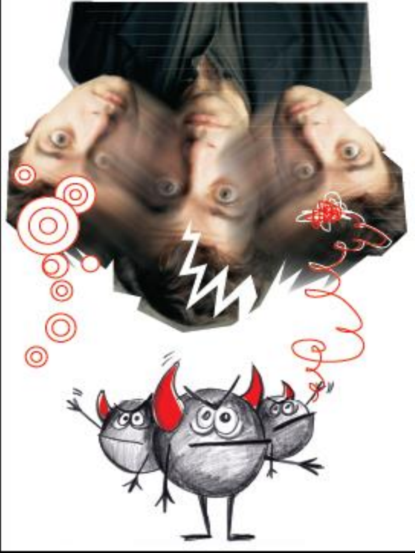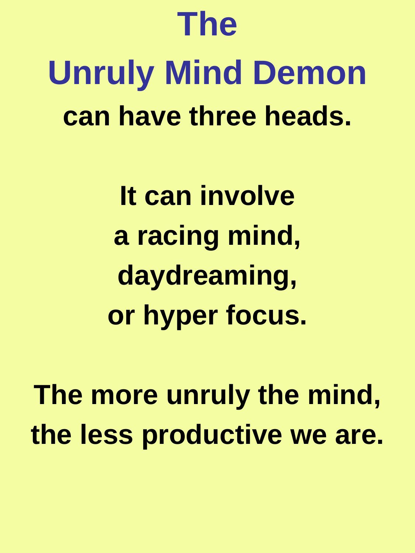# **The Unruly Mind Demon can have three heads.**

**It can involve a racing mind, daydreaming, or hyper focus.**

**The more unruly the mind, the less productive we are.**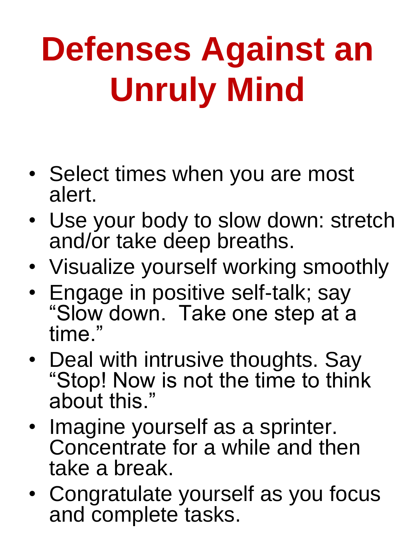## **Defenses Against an Unruly Mind**

- Select times when you are most alert.
- Use your body to slow down: stretch and/or take deep breaths.
- Visualize yourself working smoothly
- Engage in positive self-talk; say "Slow down. Take one step at a time."
- Deal with intrusive thoughts. Say "Stop! Now is not the time to think about this."
- Imagine yourself as a sprinter. Concentrate for a while and then take a break.
- Congratulate yourself as you focus and complete tasks.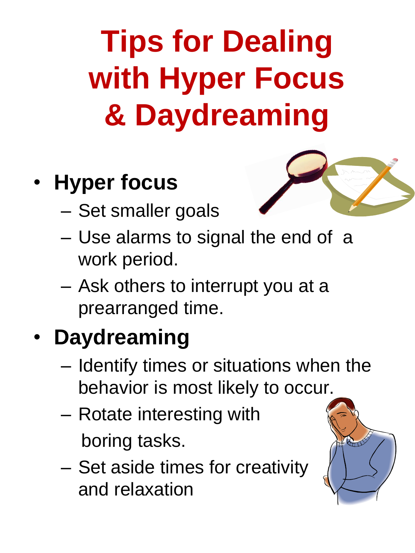**Tips for Dealing with Hyper Focus & Daydreaming**

#### • **Hyper focus**

– Set smaller goals



- Use alarms to signal the end of a work period.
- Ask others to interrupt you at a prearranged time.

#### • **Daydreaming**

- Identify times or situations when the behavior is most likely to occur.
- Rotate interesting with boring tasks.
- Set aside times for creativity and relaxation

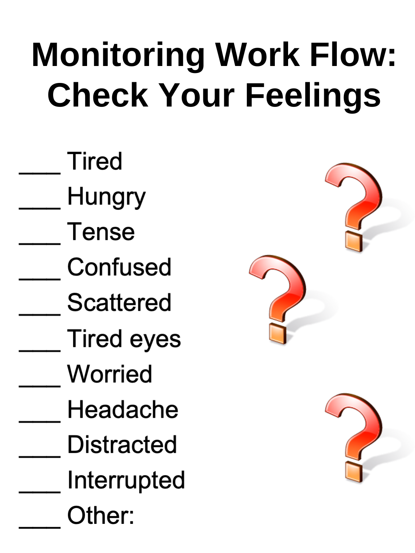## **Monitoring Work Flow: Check Your Feelings**

**Tired Hungry Tense** Confused **Scattered Tired eyes Worried** Headache **Distracted** Interrupted Other:



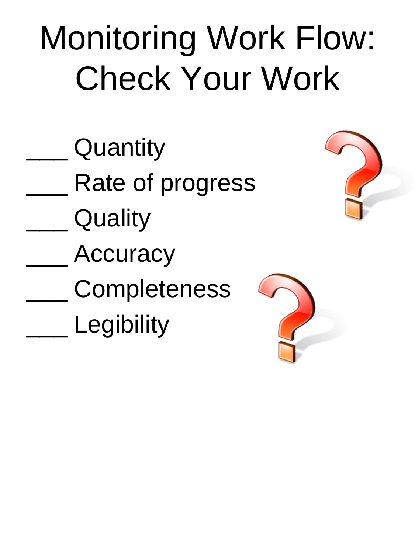## Monitoring Work Flow: Check Your Work

**Quantity** Rate of progress **Quality** Accuracy \_\_\_ Completeness **Legibility** 



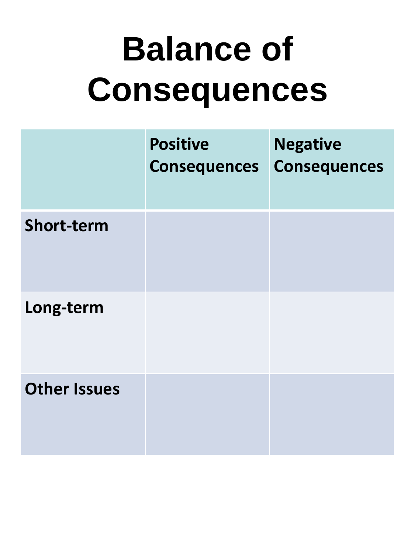## **Balance of Consequences**

|                     | <b>Positive</b><br><b>Consequences</b> | <b>Negative</b><br><b>Consequences</b> |
|---------------------|----------------------------------------|----------------------------------------|
| <b>Short-term</b>   |                                        |                                        |
| Long-term           |                                        |                                        |
| <b>Other Issues</b> |                                        |                                        |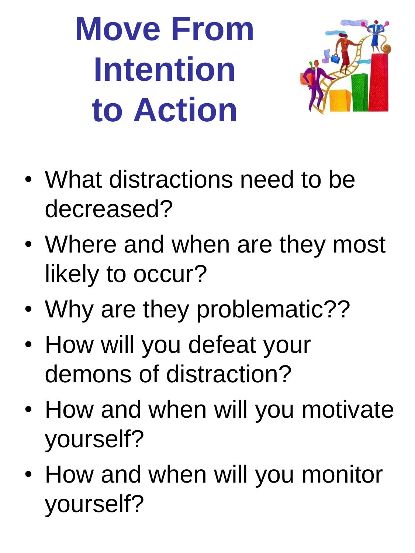**Move From Intention to Action**



- What distractions need to be decreased?
- Where and when are they most likely to occur?
- Why are they problematic??
- How will you defeat your demons of distraction?
- How and when will you motivate yourself?
- How and when will you monitor yourself?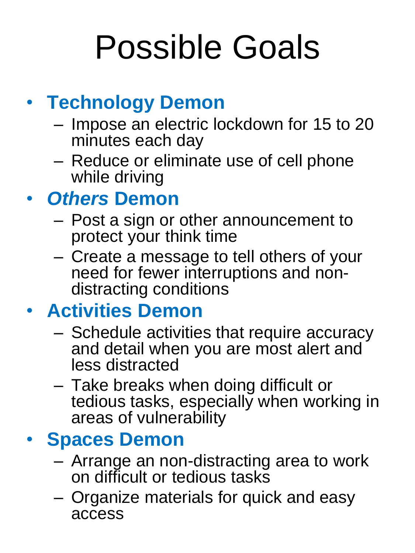### Possible Goals

#### • **Technology Demon**

- Impose an electric lockdown for 15 to 20 minutes each day
- Reduce or eliminate use of cell phone while driving

#### • *Others* **Demon**

- Post a sign or other announcement to protect your think time
- Create a message to tell others of your need for fewer interruptions and nondistracting conditions

#### • **Activities Demon**

- Schedule activities that require accuracy and detail when you are most alert and less distracted
- Take breaks when doing difficult or tedious tasks, especially when working in areas of vulnerability

#### • **Spaces Demon**

- Arrange an non-distracting area to work on difficult or tedious tasks
- Organize materials for quick and easy access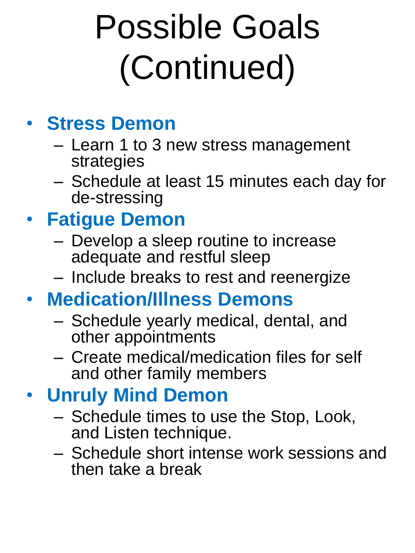# Possible Goals (Continued)

#### • **Stress Demon**

- Learn 1 to 3 new stress management strategies
- Schedule at least 15 minutes each day for de-stressing

#### • **Fatigue Demon**

- Develop a sleep routine to increase adequate and restful sleep
- Include breaks to rest and reenergize

#### • **Medication/Illness Demons**

- Schedule yearly medical, dental, and other appointments
- Create medical/medication files for self and other family members

#### • **Unruly Mind Demon**

- Schedule times to use the Stop, Look, and Listen technique.
- Schedule short intense work sessions and then take a break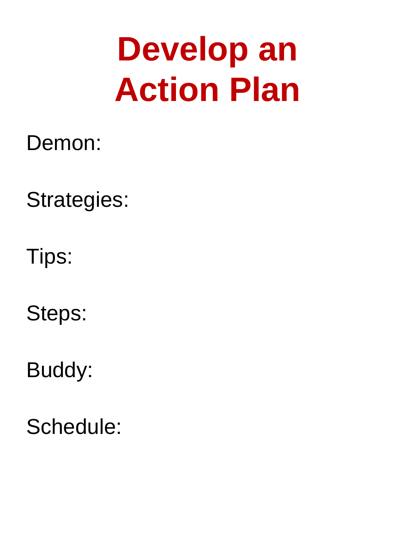### **Develop an Action Plan**

Demon:

Strategies:

Tips:

Steps:

Buddy:

Schedule: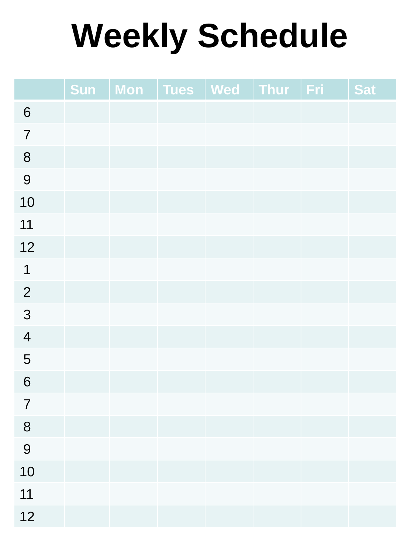## **Weekly Schedule**

|                | Sun | Mon | Tues   Wed | Thur | $ $ Fri | Sat |
|----------------|-----|-----|------------|------|---------|-----|
| $6\phantom{a}$ |     |     |            |      |         |     |
| $\overline{7}$ |     |     |            |      |         |     |
| 8              |     |     |            |      |         |     |
| 9              |     |     |            |      |         |     |
| 10             |     |     |            |      |         |     |
| 11             |     |     |            |      |         |     |
| 12             |     |     |            |      |         |     |
| $\overline{1}$ |     |     |            |      |         |     |
| $\overline{2}$ |     |     |            |      |         |     |
| $\overline{3}$ |     |     |            |      |         |     |
| $\overline{4}$ |     |     |            |      |         |     |
| 5              |     |     |            |      |         |     |
| $\overline{6}$ |     |     |            |      |         |     |
| $\overline{7}$ |     |     |            |      |         |     |
| 8              |     |     |            |      |         |     |
| 9              |     |     |            |      |         |     |
| 10             |     |     |            |      |         |     |
| 11             |     |     |            |      |         |     |
| 12             |     |     |            |      |         |     |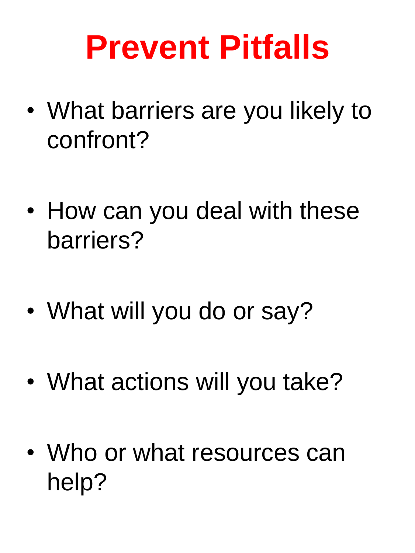#### **Prevent Pitfalls**

- What barriers are you likely to confront?
- How can you deal with these barriers?
- What will you do or say?
- What actions will you take?
- Who or what resources can help?